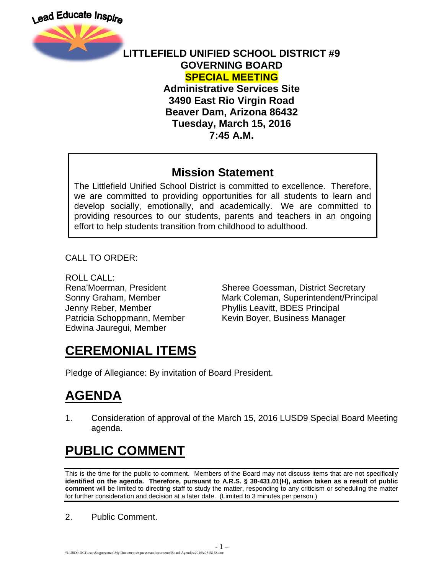

#### **LITTLEFIELD UNIFIED SCHOOL DISTRICT #9 GOVERNING BOARD SPECIAL MEETING Administrative Services Site**

**3490 East Rio Virgin Road Beaver Dam, Arizona 86432 Tuesday, March 15, 2016 7:45 A.M.**

#### **Mission Statement**

The Littlefield Unified School District is committed to excellence. Therefore, we are committed to providing opportunities for all students to learn and develop socially, emotionally, and academically. We are committed to providing resources to our students, parents and teachers in an ongoing effort to help students transition from childhood to adulthood.

CALL TO ORDER:

ROLL CALL: Jenny Reber, Member Phyllis Leavitt, BDES Principal Edwina Jauregui, Member

Rena'Moerman, President Sheree Goessman, District Secretary Sonny Graham, Member Mark Coleman, Superintendent/Principal Patricia Schoppmann, Member Kevin Boyer, Business Manager

#### **CEREMONIAL ITEMS**

Pledge of Allegiance: By invitation of Board President.

## **AGENDA**

1. Consideration of approval of the March 15, 2016 LUSD9 Special Board Meeting agenda.

# **PUBLIC COMMENT**

This is the time for the public to comment. Members of the Board may not discuss items that are not specifically **identified on the agenda. Therefore, pursuant to A.R.S. § 38-431.01(H), action taken as a result of public comment** will be limited to directing staff to study the matter, responding to any criticism or scheduling the matter for further consideration and decision at a later date. (Limited to 3 minutes per person.)

2. Public Comment.